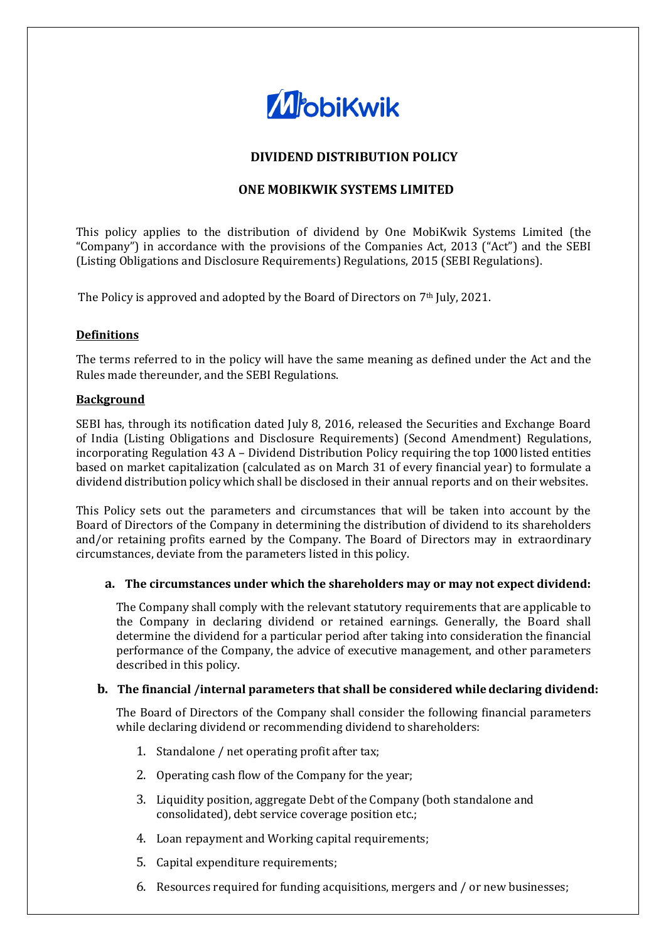

# **DIVIDEND DISTRIBUTION POLICY**

# **ONE MOBIKWIK SYSTEMS LIMITED**

This policy applies to the distribution of dividend by One MobiKwik Systems Limited (the "Company") in accordance with the provisions of the Companies Act, 2013 ("Act") and the SEBI (Listing Obligations and Disclosure Requirements) Regulations, 2015 (SEBI Regulations).

The Policy is approved and adopted by the Board of Directors on 7th July, 2021.

#### **Definitions**

The terms referred to in the policy will have the same meaning as defined under the Act and the Rules made thereunder, and the SEBI Regulations.

#### **Background**

SEBI has, through its notification dated July 8, 2016, released the Securities and Exchange Board of India (Listing Obligations and Disclosure Requirements) (Second Amendment) Regulations, incorporating Regulation 43 A – Dividend Distribution Policy requiring the top 1000 listed entities based on market capitalization (calculated as on March 31 of every financial year) to formulate a dividend distribution policy which shall be disclosed in their annual reports and on their websites.

This Policy sets out the parameters and circumstances that will be taken into account by the Board of Directors of the Company in determining the distribution of dividend to its shareholders and/or retaining profits earned by the Company. The Board of Directors may in extraordinary circumstances, deviate from the parameters listed in this policy.

#### **a. The circumstances under which the shareholders may or may not expect dividend:**

The Company shall comply with the relevant statutory requirements that are applicable to the Company in declaring dividend or retained earnings. Generally, the Board shall determine the dividend for a particular period after taking into consideration the financial performance of the Company, the advice of executive management, and other parameters described in this policy.

#### **b. The financial /internal parameters that shall be considered while declaring dividend:**

The Board of Directors of the Company shall consider the following financial parameters while declaring dividend or recommending dividend to shareholders:

- 1. Standalone / net operating profit after tax;
- 2. Operating cash flow of the Company for the year;
- 3. Liquidity position, aggregate Debt of the Company (both standalone and consolidated), debt service coverage position etc.;
- 4. Loan repayment and Working capital requirements;
- 5. Capital expenditure requirements;
- 6. Resources required for funding acquisitions, mergers and / or new businesses;